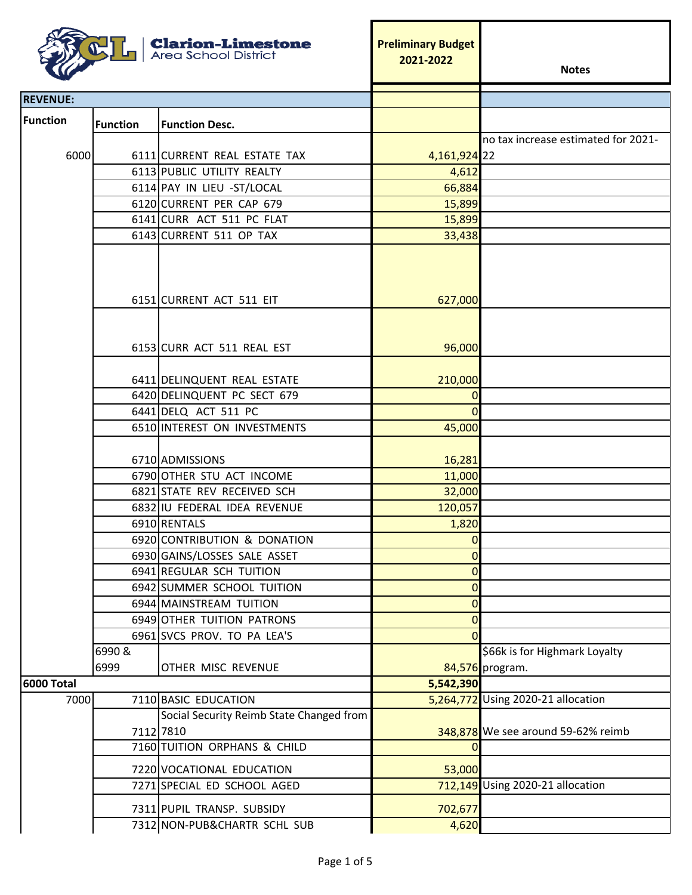| <b>Clarion-Limestone</b><br><b>Area School District</b> |                 |                                                       | <b>Preliminary Budget</b><br>2021-2022 | <b>Notes</b>                                     |
|---------------------------------------------------------|-----------------|-------------------------------------------------------|----------------------------------------|--------------------------------------------------|
| <b>REVENUE:</b>                                         |                 |                                                       |                                        |                                                  |
| <b>Function</b>                                         |                 |                                                       |                                        |                                                  |
|                                                         | <b>Function</b> | <b>Function Desc.</b>                                 |                                        | no tax increase estimated for 2021-              |
| 6000                                                    |                 | 6111 CURRENT REAL ESTATE TAX                          | 4,161,924 22                           |                                                  |
|                                                         |                 | 6113 PUBLIC UTILITY REALTY                            | 4,612                                  |                                                  |
|                                                         |                 | 6114 PAY IN LIEU - ST/LOCAL                           | 66,884                                 |                                                  |
|                                                         |                 | 6120 CURRENT PER CAP 679                              | 15,899                                 |                                                  |
|                                                         |                 | 6141 CURR ACT 511 PC FLAT                             | 15,899                                 |                                                  |
|                                                         |                 | 6143 CURRENT 511 OP TAX                               |                                        |                                                  |
|                                                         |                 |                                                       | 33,438                                 |                                                  |
|                                                         |                 | 6151 CURRENT ACT 511 EIT                              | 627,000                                |                                                  |
|                                                         |                 | 6153 CURR ACT 511 REAL EST                            | 96,000                                 |                                                  |
|                                                         |                 | 6411 DELINQUENT REAL ESTATE                           | 210,000                                |                                                  |
|                                                         |                 | 6420 DELINQUENT PC SECT 679                           | $\overline{0}$                         |                                                  |
|                                                         |                 | 6441 DELQ ACT 511 PC                                  | $\Omega$                               |                                                  |
|                                                         |                 | 6510 INTEREST ON INVESTMENTS                          | 45,000                                 |                                                  |
|                                                         |                 | 6710 ADMISSIONS                                       | 16,281                                 |                                                  |
|                                                         |                 | 6790 OTHER STU ACT INCOME                             | 11,000                                 |                                                  |
|                                                         |                 | 6821 STATE REV RECEIVED SCH                           | 32,000                                 |                                                  |
|                                                         |                 | 6832 IU FEDERAL IDEA REVENUE                          | 120,057                                |                                                  |
|                                                         |                 | 6910 RENTALS                                          | 1,820                                  |                                                  |
|                                                         |                 | 6920 CONTRIBUTION & DONATION                          | $\Omega$                               |                                                  |
|                                                         |                 | 6930 GAINS/LOSSES SALE ASSET                          | $\overline{0}$                         |                                                  |
|                                                         |                 | 6941 REGULAR SCH TUITION                              | $\overline{0}$                         |                                                  |
|                                                         |                 | 6942 SUMMER SCHOOL TUITION                            | $\overline{0}$                         |                                                  |
|                                                         |                 | 6944 MAINSTREAM TUITION                               | $\overline{0}$                         |                                                  |
|                                                         |                 | 6949 OTHER TUITION PATRONS                            | $\overline{0}$                         |                                                  |
|                                                         |                 | 6961 SVCS PROV. TO PA LEA'S                           | $\Omega$                               |                                                  |
|                                                         | 6990&<br>6999   | OTHER MISC REVENUE                                    |                                        | \$66k is for Highmark Loyalty<br>84,576 program. |
| <b>6000 Total</b>                                       |                 |                                                       | 5,542,390                              |                                                  |
| 7000                                                    |                 | 7110 BASIC EDUCATION                                  |                                        | 5,264,772 Using 2020-21 allocation               |
|                                                         |                 | Social Security Reimb State Changed from<br>7112 7810 |                                        | 348,878 We see around 59-62% reimb               |
|                                                         |                 | 7160 TUITION ORPHANS & CHILD                          | $\Omega$                               |                                                  |
|                                                         |                 | 7220 VOCATIONAL EDUCATION                             | 53,000                                 |                                                  |
|                                                         |                 | 7271 SPECIAL ED SCHOOL AGED                           |                                        | 712,149 Using 2020-21 allocation                 |
|                                                         |                 | 7311 PUPIL TRANSP. SUBSIDY                            | 702,677                                |                                                  |
|                                                         |                 | 7312 NON-PUB&CHARTR SCHL SUB                          | 4,620                                  |                                                  |

ŕ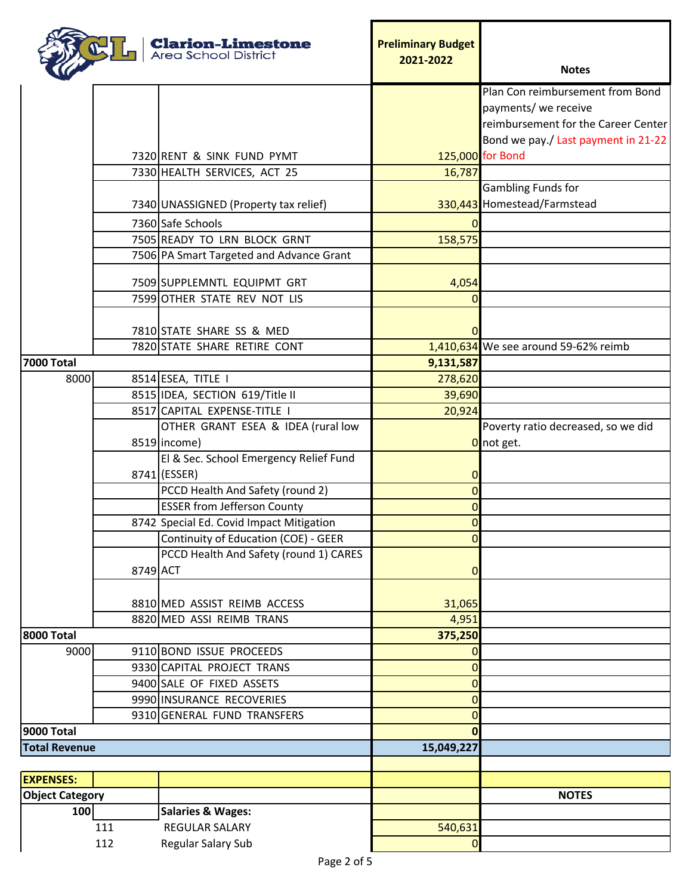|                        |          | <b>Clarion-Limestone</b><br><b>Area School District</b> | <b>Preliminary Budget</b><br>2021-2022 | <b>Notes</b>                         |
|------------------------|----------|---------------------------------------------------------|----------------------------------------|--------------------------------------|
|                        |          |                                                         |                                        | Plan Con reimbursement from Bond     |
|                        |          |                                                         |                                        | payments/ we receive                 |
|                        |          |                                                         |                                        | reimbursement for the Career Center  |
|                        |          |                                                         |                                        | Bond we pay./ Last payment in 21-22  |
|                        |          | 7320 RENT & SINK FUND PYMT                              |                                        | 125,000 for Bond                     |
|                        |          | 7330 HEALTH SERVICES, ACT 25                            | 16,787                                 |                                      |
|                        |          |                                                         |                                        | <b>Gambling Funds for</b>            |
|                        |          | 7340 UNASSIGNED (Property tax relief)                   |                                        | 330,443 Homestead/Farmstead          |
|                        |          | 7360 Safe Schools                                       | 0                                      |                                      |
|                        |          | 7505 READY TO LRN BLOCK GRNT                            | 158,575                                |                                      |
|                        |          | 7506 PA Smart Targeted and Advance Grant                |                                        |                                      |
|                        |          | 7509 SUPPLEMNTL EQUIPMT GRT                             | 4,054                                  |                                      |
|                        |          | 7599 OTHER STATE REV NOT LIS                            | 0                                      |                                      |
|                        |          |                                                         |                                        |                                      |
|                        |          | 7810 STATE SHARE SS & MED                               | 0                                      |                                      |
|                        |          | 7820 STATE SHARE RETIRE CONT                            |                                        | 1,410,634 We see around 59-62% reimb |
| <b>7000 Total</b>      |          |                                                         | 9,131,587                              |                                      |
| 8000                   |          | 8514 ESEA, TITLE I                                      | 278,620                                |                                      |
|                        |          | 8515 IDEA, SECTION 619/Title II                         | 39,690                                 |                                      |
|                        |          | 8517 CAPITAL EXPENSE-TITLE I                            | 20,924                                 |                                      |
|                        |          | OTHER GRANT ESEA & IDEA (rural low                      |                                        | Poverty ratio decreased, so we did   |
|                        |          | 8519 income)                                            |                                        | Onot get.                            |
|                        |          | El & Sec. School Emergency Relief Fund                  |                                        |                                      |
|                        |          | 8741 (ESSER)                                            | 0                                      |                                      |
|                        |          | PCCD Health And Safety (round 2)                        | 0                                      |                                      |
|                        |          | <b>ESSER from Jefferson County</b>                      | $\mathbf 0$                            |                                      |
|                        |          | 8742 Special Ed. Covid Impact Mitigation                | $\overline{O}$                         |                                      |
|                        |          | Continuity of Education (COE) - GEER                    | 0                                      |                                      |
|                        |          | PCCD Health And Safety (round 1) CARES                  |                                        |                                      |
|                        | 8749 ACT |                                                         | $\mathbf 0$                            |                                      |
|                        |          |                                                         |                                        |                                      |
|                        |          | 8810 MED ASSIST REIMB ACCESS                            | 31,065                                 |                                      |
|                        |          | 8820 MED ASSI REIMB TRANS                               | 4,951                                  |                                      |
| 8000 Total             |          |                                                         | 375,250                                |                                      |
| 9000                   |          | 9110 BOND ISSUE PROCEEDS                                | 0                                      |                                      |
|                        |          | 9330 CAPITAL PROJECT TRANS                              | 0                                      |                                      |
|                        |          | 9400 SALE OF FIXED ASSETS                               | $\mathbf 0$                            |                                      |
|                        |          | 9990 INSURANCE RECOVERIES                               | $\mathbf 0$                            |                                      |
| 9000 Total             |          | 9310 GENERAL FUND TRANSFERS                             | 0                                      |                                      |
| <b>Total Revenue</b>   |          |                                                         | $\mathbf{0}$<br>15,049,227             |                                      |
|                        |          |                                                         |                                        |                                      |
| <b>EXPENSES:</b>       |          |                                                         |                                        |                                      |
| <b>Object Category</b> |          |                                                         |                                        | <b>NOTES</b>                         |
| 100                    |          | <b>Salaries &amp; Wages:</b>                            |                                        |                                      |
|                        | 111      | <b>REGULAR SALARY</b>                                   | 540,631                                |                                      |
|                        | 112      | Regular Salary Sub                                      | 0                                      |                                      |
|                        |          |                                                         |                                        |                                      |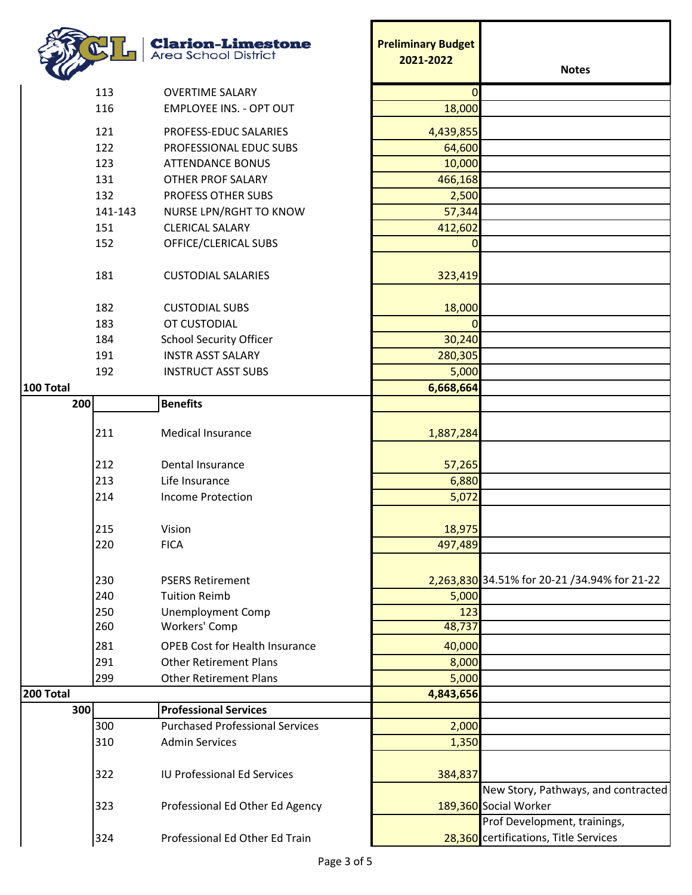|                  | <b>Clarion-Limestone</b><br><b>Area School District</b> | <b>Preliminary Budget</b><br>2021-2022 | <b>Notes</b>                                                          |
|------------------|---------------------------------------------------------|----------------------------------------|-----------------------------------------------------------------------|
| 113              | <b>OVERTIME SALARY</b>                                  | $\Omega$                               |                                                                       |
| 116              | <b>EMPLOYEE INS. - OPT OUT</b>                          | 18,000                                 |                                                                       |
|                  |                                                         |                                        |                                                                       |
| 121              | PROFESS-EDUC SALARIES                                   | 4,439,855                              |                                                                       |
| 122              | PROFESSIONAL EDUC SUBS                                  | 64,600                                 |                                                                       |
| 123              | <b>ATTENDANCE BONUS</b>                                 | 10,000                                 |                                                                       |
| 131              | <b>OTHER PROF SALARY</b>                                | 466,168                                |                                                                       |
| 132              | PROFESS OTHER SUBS                                      | 2,500                                  |                                                                       |
| 141-143          | NURSE LPN/RGHT TO KNOW                                  | 57,344                                 |                                                                       |
| 151              | <b>CLERICAL SALARY</b>                                  | 412,602                                |                                                                       |
| 152              | OFFICE/CLERICAL SUBS                                    | 0                                      |                                                                       |
| 181              | <b>CUSTODIAL SALARIES</b>                               | 323,419                                |                                                                       |
| 182              | <b>CUSTODIAL SUBS</b>                                   | 18,000                                 |                                                                       |
| 183              | OT CUSTODIAL                                            | 0                                      |                                                                       |
| 184              | <b>School Security Officer</b>                          | 30,240                                 |                                                                       |
| 191              | <b>INSTR ASST SALARY</b>                                | 280,305                                |                                                                       |
| 192              | <b>INSTRUCT ASST SUBS</b>                               | 5,000                                  |                                                                       |
| 100 Total        |                                                         | 6,668,664                              |                                                                       |
| 200              | <b>Benefits</b>                                         |                                        |                                                                       |
|                  |                                                         |                                        |                                                                       |
| 211              | <b>Medical Insurance</b>                                | 1,887,284                              |                                                                       |
| 212              | Dental Insurance                                        | 57,265                                 |                                                                       |
| 213              | Life Insurance                                          | 6,880                                  |                                                                       |
| 214              | <b>Income Protection</b>                                | 5,072                                  |                                                                       |
|                  |                                                         |                                        |                                                                       |
| 215              | Vision                                                  | 18,975                                 |                                                                       |
| 220              | <b>FICA</b>                                             | 497,489                                |                                                                       |
| 230              | <b>PSERS Retirement</b>                                 |                                        | 2,263,830 34.51% for 20-21 /34.94% for 21-22                          |
| 240              | <b>Tuition Reimb</b>                                    | 5,000                                  |                                                                       |
| 250              | <b>Unemployment Comp</b>                                | 123                                    |                                                                       |
| 260              | Workers' Comp                                           | 48,737                                 |                                                                       |
| 281              | <b>OPEB Cost for Health Insurance</b>                   | 40,000                                 |                                                                       |
| 291              | <b>Other Retirement Plans</b>                           | 8,000                                  |                                                                       |
| 299              | <b>Other Retirement Plans</b>                           | 5,000                                  |                                                                       |
| <b>200 Total</b> |                                                         | 4,843,656                              |                                                                       |
| 300              | <b>Professional Services</b>                            |                                        |                                                                       |
| 300              | <b>Purchased Professional Services</b>                  | 2,000                                  |                                                                       |
| 310              | <b>Admin Services</b>                                   | 1,350                                  |                                                                       |
|                  |                                                         |                                        |                                                                       |
| 322              | <b>IU Professional Ed Services</b>                      | 384,837                                |                                                                       |
| 323              | Professional Ed Other Ed Agency                         |                                        | New Story, Pathways, and contracted<br>189,360 Social Worker          |
| 324              | Professional Ed Other Ed Train                          |                                        | Prof Development, trainings,<br>28,360 certifications, Title Services |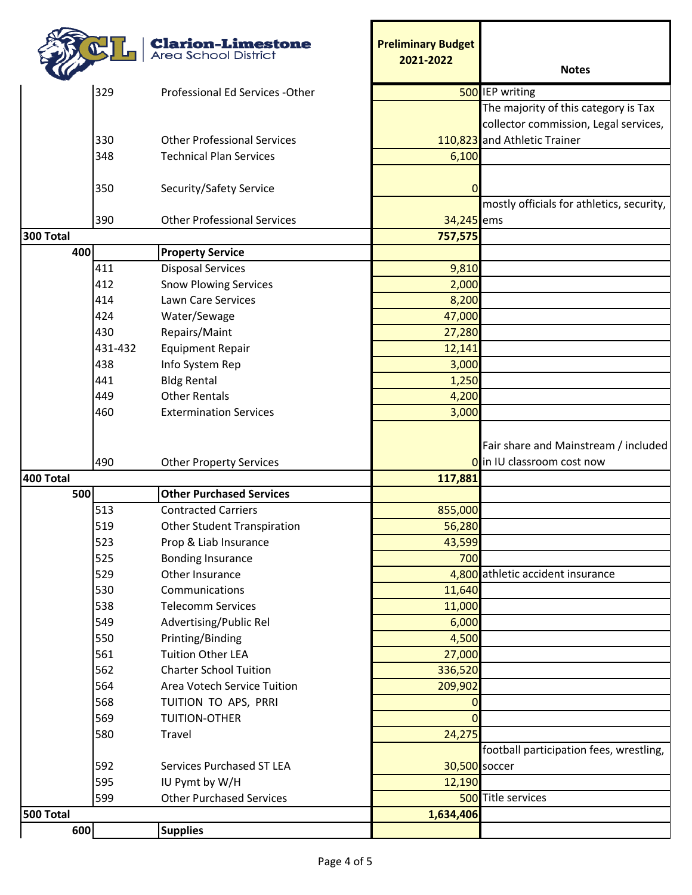|           |            | <b>Clarion-Limestone</b><br><b>Area School District</b> | <b>Preliminary Budget</b><br>2021-2022 | <b>Notes</b>                                                       |
|-----------|------------|---------------------------------------------------------|----------------------------------------|--------------------------------------------------------------------|
|           | 329        | Professional Ed Services - Other                        |                                        | 500 IEP writing                                                    |
|           |            |                                                         |                                        | The majority of this category is Tax                               |
|           |            |                                                         |                                        | collector commission, Legal services,                              |
|           | 330        | <b>Other Professional Services</b>                      |                                        | 110,823 and Athletic Trainer                                       |
|           | 348        | <b>Technical Plan Services</b>                          | 6,100                                  |                                                                    |
|           |            |                                                         |                                        |                                                                    |
|           | 350        | Security/Safety Service                                 | 0                                      |                                                                    |
|           |            |                                                         |                                        | mostly officials for athletics, security,                          |
|           | 390        | <b>Other Professional Services</b>                      | 34,245 ems                             |                                                                    |
| 300 Total |            |                                                         | 757,575                                |                                                                    |
| 400       |            | <b>Property Service</b>                                 |                                        |                                                                    |
|           | 411        | <b>Disposal Services</b>                                | 9,810                                  |                                                                    |
|           | 412        | <b>Snow Plowing Services</b>                            | 2,000                                  |                                                                    |
|           | 414        | <b>Lawn Care Services</b>                               | 8,200                                  |                                                                    |
|           | 424        | Water/Sewage                                            | 47,000                                 |                                                                    |
|           | 430        | Repairs/Maint                                           | 27,280                                 |                                                                    |
|           | 431-432    | <b>Equipment Repair</b>                                 | 12,141                                 |                                                                    |
|           | 438        | Info System Rep                                         | 3,000                                  |                                                                    |
|           | 441        | <b>Bldg Rental</b>                                      | 1,250                                  |                                                                    |
|           | 449        | <b>Other Rentals</b>                                    | 4,200                                  |                                                                    |
|           | 460        | <b>Extermination Services</b>                           | 3,000                                  |                                                                    |
|           | 490        | <b>Other Property Services</b>                          |                                        | Fair share and Mainstream / included<br>O in IU classroom cost now |
| 400 Total |            |                                                         | 117,881                                |                                                                    |
| 500       |            | <b>Other Purchased Services</b>                         |                                        |                                                                    |
|           | 513        | <b>Contracted Carriers</b>                              | 855,000                                |                                                                    |
|           | 519        | <b>Other Student Transpiration</b>                      | 56,280                                 |                                                                    |
|           | 523        | Prop & Liab Insurance                                   | 43,599                                 |                                                                    |
|           | 525        | <b>Bonding Insurance</b>                                | 700                                    |                                                                    |
|           | 529        | Other Insurance                                         |                                        | 4,800 athletic accident insurance                                  |
|           | 530        | Communications                                          | 11,640                                 |                                                                    |
|           | 538        | <b>Telecomm Services</b>                                | 11,000                                 |                                                                    |
|           | 549        | Advertising/Public Rel                                  | 6,000                                  |                                                                    |
|           | 550<br>561 | Printing/Binding<br><b>Tuition Other LEA</b>            | 4,500<br>27,000                        |                                                                    |
|           | 562        | <b>Charter School Tuition</b>                           | 336,520                                |                                                                    |
|           | 564        | Area Votech Service Tuition                             | 209,902                                |                                                                    |
|           | 568        |                                                         |                                        |                                                                    |
|           | 569        | TUITION TO APS, PRRI<br>TUITION-OTHER                   | 0<br>$\Omega$                          |                                                                    |
|           |            |                                                         |                                        |                                                                    |
|           | 580        | Travel                                                  | 24,275                                 | football participation fees, wrestling,                            |
|           | 592        | Services Purchased ST LEA                               | 30,500 soccer                          |                                                                    |
|           | 595        | IU Pymt by W/H                                          | 12,190                                 |                                                                    |
|           | 599        | <b>Other Purchased Services</b>                         |                                        | 500 Title services                                                 |
| 500 Total |            |                                                         | 1,634,406                              |                                                                    |
| 600       |            | <b>Supplies</b>                                         |                                        |                                                                    |